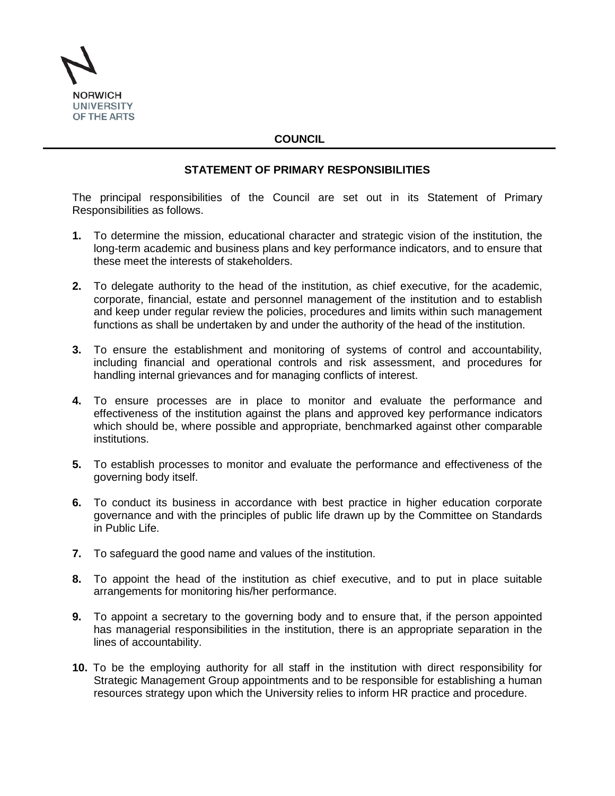

## **COUNCIL**

## **STATEMENT OF PRIMARY RESPONSIBILITIES**

The principal responsibilities of the Council are set out in its Statement of Primary Responsibilities as follows.

- **1.** To determine the mission, educational character and strategic vision of the institution, the long-term academic and business plans and key performance indicators, and to ensure that these meet the interests of stakeholders.
- **2.** To delegate authority to the head of the institution, as chief executive, for the academic, corporate, financial, estate and personnel management of the institution and to establish and keep under regular review the policies, procedures and limits within such management functions as shall be undertaken by and under the authority of the head of the institution.
- **3.** To ensure the establishment and monitoring of systems of control and accountability, including financial and operational controls and risk assessment, and procedures for handling internal grievances and for managing conflicts of interest.
- **4.** To ensure processes are in place to monitor and evaluate the performance and effectiveness of the institution against the plans and approved key performance indicators which should be, where possible and appropriate, benchmarked against other comparable institutions.
- **5.** To establish processes to monitor and evaluate the performance and effectiveness of the governing body itself.
- **6.** To conduct its business in accordance with best practice in higher education corporate governance and with the principles of public life drawn up by the Committee on Standards in Public Life.
- **7.** To safeguard the good name and values of the institution.
- **8.** To appoint the head of the institution as chief executive, and to put in place suitable arrangements for monitoring his/her performance.
- **9.** To appoint a secretary to the governing body and to ensure that, if the person appointed has managerial responsibilities in the institution, there is an appropriate separation in the lines of accountability.
- **10.** To be the employing authority for all staff in the institution with direct responsibility for Strategic Management Group appointments and to be responsible for establishing a human resources strategy upon which the University relies to inform HR practice and procedure.